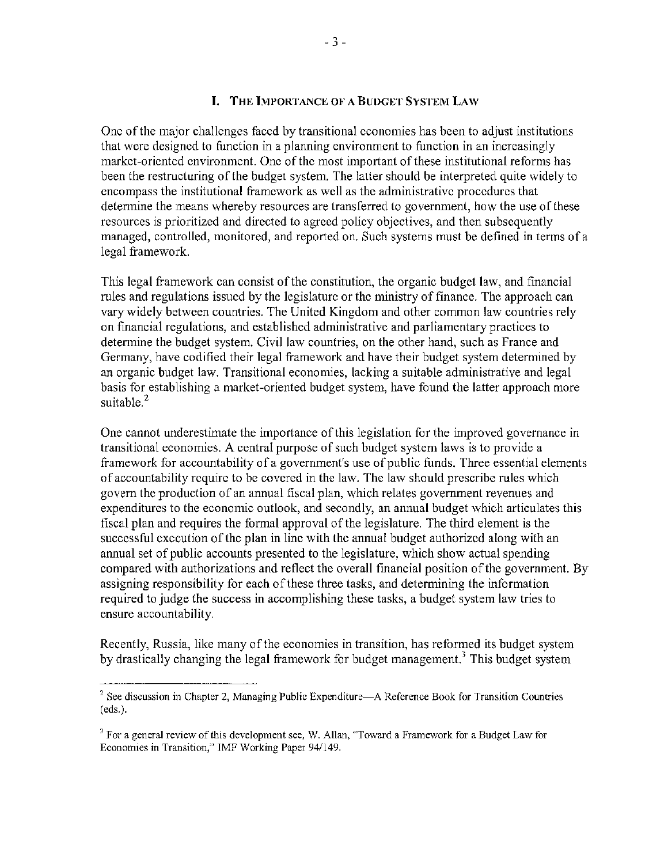#### **I. THE IMPORTANCE OF A BUDGET SYSTEM LAW**

One ofthe major challenges faced by transitional economies has been to adjust institutions that were designed to function in a planning enviromnent to function in an increasingly market-oriented environment. One of the most important of these institutional reforms has been the restructuring of the budget system. The latter should be interpreted quite widely to encompass the institutional framework as well as the administrative procedures that determine the means whereby resources are transferred to government, how the use of these resources is prioritized and directed to agreed policy objectives, and then subsequently managed, controlled, monitored, and reported on. Such systems must be defined in terms of a legal framework.

This legal framework can consist ofthe constitution, the organic budget law, and fmancial rules and regulations issued by the legislature or the ministry of finance. The approach can vary widely between countries. The United Kingdom and other common law countries rely on financial regulations, and established administrative and parliamentary practices to determine the budget system. Civil law countries, on the other hand, such as France and Germany, have codified their legal framework and have their budget system determined by an organic budget law. Transitional economies, lacking a suitable administrative and legal basis for establishing a market-oriented budget system, have found the latter approach more suitable.<sup>2</sup>

One cannot underestimate the importance of this legislation for the improved governance in transitional economies. A central purpose of such budget system laws is to provide a framework for accountability of a government's use of public funds. Three essential elements of accountability require to be covered in the law. The law should prescribe rules which govern the production of an annual fiscal plan, which relates government revenues and expenditures to the economic outlook, and secondly, an annual budget which articulates this fiscal plan and requires the formal approval of the legislature. The third element is the successful execution ofthe plan in line with the annual budget authorized along with an annual set of public accounts presented to the legislature, which show actual spending compared with authorizations and reflect the overall financial position of the government. By assigning responsibility for each of these three tasks, and determining the information required to judge the success in accomplishing these tasks, a budget system law tries to ensure accountability.

Recently, Russia, like many of the economies in transition, has reformed its budget system by drastically changing the legal framework for budget management.<sup>3</sup> This budget system

 $2$  See discussion in Chapter 2, Managing Public Expenditure—A Reference Book for Transition Countries (eds.).

<sup>&</sup>lt;sup>3</sup> For a general review of this development see, W. Allan, "Toward a Framework for a Budget Law for Economies in Transition," IMF Working Paper 94/149.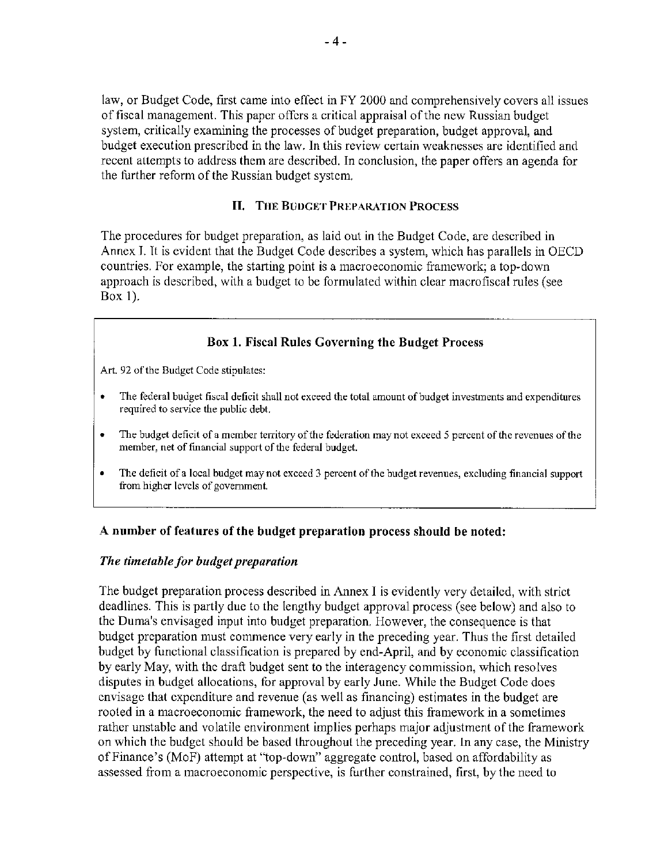law, or Budget Code, first came into effect in FY 2000 and comprehensively covers all issues of fiscal management. This paper offers a critical appraisal of the new Russian budget system, critically examining the processes of budget preparation, budget approval, and budget execution prescribed in the law. In this review certain weaknesses are identified and recent attempts to address them are described, In conclusion, the paper otfers an agenda for the further reform of the Russian budget system,

### II. THE BUUGET [PREPARATION PROCESS](#page--1-0)

The procedures for budget preparation, as laid out in the Budget Code, are described in Annex L It is evident that the Budget Code describes a system, which has parallels in OECD countries, For example, the starting point is a macroeconomic framework; a top-down approach is described, with a budget to be formulated within clear macrofiscal rules (see Box 1),

## [Box 1. Fiscal Rules Governing the Budget Process](#page--1-0)

Art. 92 of the Budget Code stipulates:

- The federal budget fiscal deficit shall not exceed the total amount of budget investments and expenditures required to service the public debt.
- The budget deficit of a member territory of the federation may not exceed 5 percent of the revenues of the member, net of financial support of the federal budget.
- The deficit of a local budget may not exceed 3 percent of the budget revenues, excluding financial support from higher levels of government.

### A number of features of the budget preparation process should be noted:

### *The timetable for budget preparation*

The budget preparation process described in Annex I is evidently very detailed, with strict deadlines, This is partly due to the lengthy budget approval process (see below) and also to the Duma's envisaged input into budget preparation, However, the consequence is that budget preparation must commence very early in the preceding year. Thus the first detailed budget by functional classification is prepared by end-April, and by economic classification by early May, with the draft budget sent to the interagency commission, which resolves disputes in budget allocations, for approval by early June. While the Budget Code does envisage that expenditure and revenue (as well as financing) estimates in the budget are rooted in a macroeconomic framework, the need to adjust this framework in a sometimes rather unstable and volatile environment implies perhaps major adjustment of the framework on which the budget should be based throughout the preceding year, In any case, the Ministry of Finance's (MoF) attempt at "top-down" aggregate control, based on affordability as assessed from a macroeconomic perspective, is further constrained, first, by the need to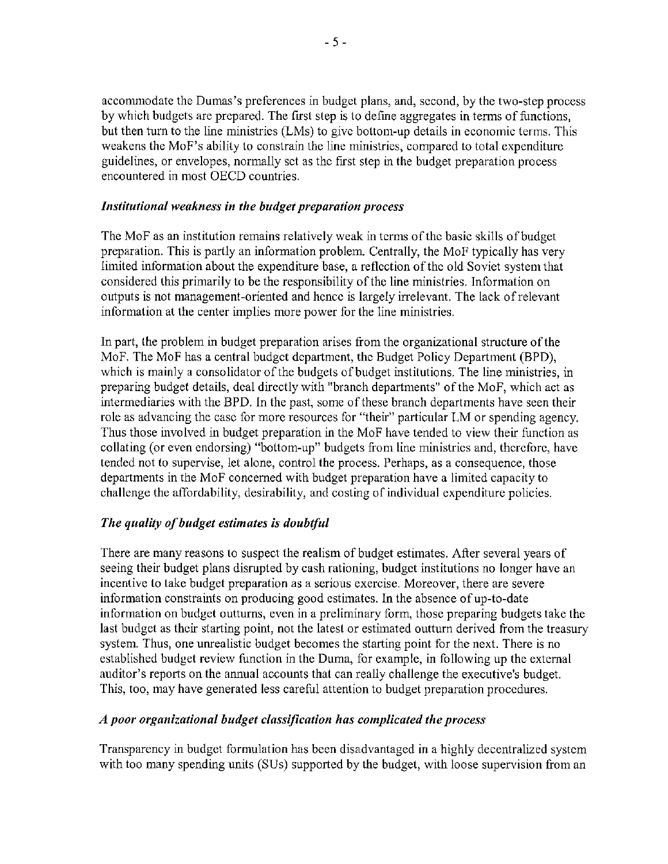accommodate the Dumas's preferences in budget plans, and, second, by the two-step process by which budgets are prepared. The first step is to define aggregates in terms of functions, but then turn to the line ministries (LMs) to give bottom-up details in economic terms. This weakens the MoF's ability to constrain the line ministries, compared to total expenditure guidelines, or envelopes, normally set as the first step in the budget preparation process encountered in most OECD countries.

### *Institutional weakness in the budget preparation process*

The MoF as an institution remains relatively weak in terms of the basic skills ofbudget preparation. This is partly an information problem. Centrally, the MoF typically has very limited information about the expenditure base, a reflection of the old Soviet system that considered this primarily to be the responsibility of the line ministries. Information on outputs is not management-oriented and hence is largely irrelevant. The lack of relevant information at the center implies more power for the line ministries.

In part, the problem in budget preparation arises from the organizational structure of the MoF. The MoF has a central budget department, the Budget Policy Department (BPD), which is mainly a consolidator of the budgets of budget institutions. The line ministries, in preparing budget details, deal directly with "branch departments" of the MoF, which act as intermediaries with the BPD. In the past, some of these branch departments have seen their role as advancing the case for more resources for "their" particular LM or spending agency. Thus those involved in budget preparation in the MoF have tended to view their function as collating (or even endorsing) "bottom-up" budgets from line ministries and, therefore, have tended not to supervise, let alone, control the process. Perhaps, as a consequence, those departments in the MoF concerned with budget preparation have a limited capacity to challenge the affordability, desirability, and costing of individual expenditure policies.

## *The quality of budget estimates is doubtful*

There are many reasons to suspect the realism of budget estimates. After several years of seeing their budget plans disrupted by cash rationing, budget institutions no longer have an incentive to take budget preparation as a serious exercise. Moreover, there are severe information constraints on producing good estimates. In the absence of up-to-date information on budget outturns, even in a preliminary form, those preparing budgets take the last budget as their starting point, not the latest or estimated outturn derived from the treasury system. Thus, one unrealistic budget becomes the starting point for the next. There is no established budget review function in the Duma, for example, in following up the external auditor's reports on the annual accounts that can really challenge the executive's budget. This, too, may have generated less careful attention to budget preparation procedures.

## *A poor organizational budget classification has complicated the process*

Transparency in budget formulation has been disadvantaged in a highly decentralized system with too many spending units (SUs) supported by the budget, with loose supervision from an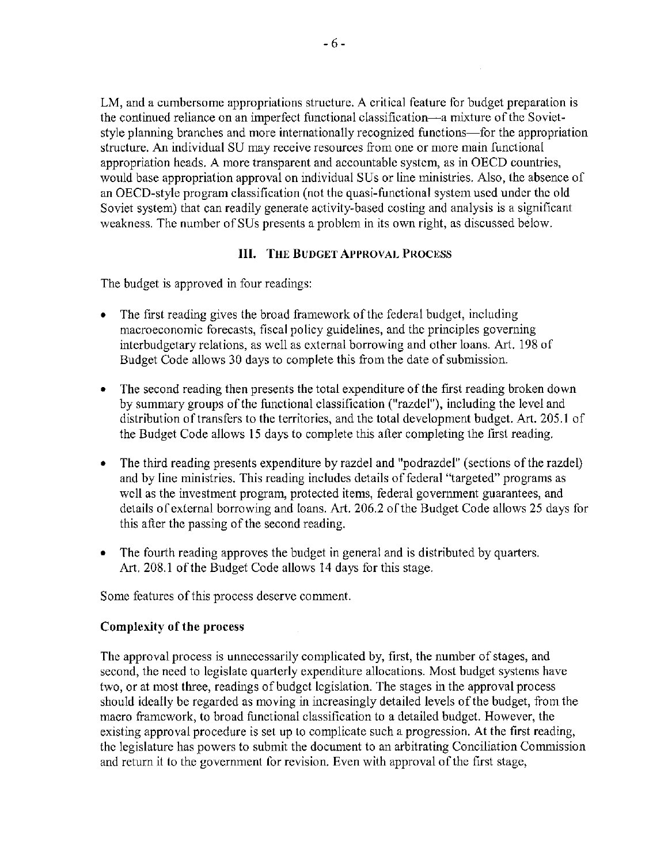LM, and a cumbersome appropriations structure. A critical feature for budget preparation is the continued reliance on an imperfect functional classification-a mixture of the Sovietstyle planning branches and more internationally recognized functions—for the appropriation structure. An individual SU may receive resources from one or more main [unctional appropriation heads. A more transparent and accountable systcm, as in OECD countries, would base appropriation approval on individual SUs or line ministries. Also, the absence of an OECD-style program classification (not the quasi-functional system uscd undcr thc old Soviet system) that can readily generate activity-based costing and analysis is a significant weakness. The number of SUs presents a problem in its own right, as discussed below.

### **III. THE BUDGET APPROVAL PROCESS**

The budget is approved in four readings:

- The first reading gives the broad framework of the federal budget, including macroeconomic forecasts, fiscal policy guidelines, and the principles governing interbudgetary relations, as well as external borrowing and other loans. Art. 198 of Budget Code allows 30 days to complete this from the date of submission.
- The second reading then presents the total expenditure of the first reading broken down by summary groups of the functional classification ("razdel"), including the level and distribution of transfers to the territories, and the total development budget. Art. 205.1 of the Budget Code allows 15 days to complete this after completing the first reading.
- The third reading presents expenditure by razdel and "podrazdel" (sections of the razdel) and by line ministries. This reading includes details of federal "targeted" programs as wcll as the investment program, protected items, federal government guarantees, and details of external borrowing and loans. Art. 206.2 of the Budget Code allows 25 days for this after the passing of the second reading.
- The fourth reading approves the budget in general and is distributed by quarters. Art. 208.1 of the Budget Code allows 14 days for this stage.

Some features of this process deserve comment.

### Complexity of the process

The approval process is unnecessarily complicated by, first, the number of stages, and second, the need to legislate quarterly expenditure allocations. Most budget systems have two, or at most three, readings of budget legislation. The stages in the approval process should ideally be regarded as moving in increasingly detailed levels of the budget, from the macro framework, to broad functional classification to a detailed budget. However, the existing approval procedure is set up to complicate such a progression. At the first reading, the legislature has powers to submit the document to an arbitrating Conciliation Commission and return it to the government for revision. Even with approval of the first stage,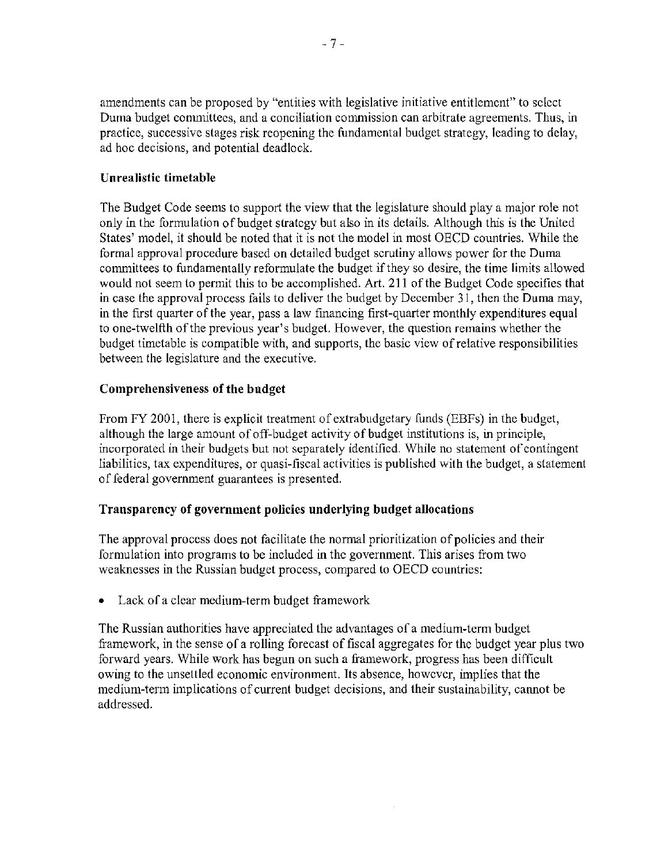amendments can be proposed by "entities with legislative initiative entitlement" to select Duma budget committees, and a conciliation commission can arbitrate agreements. Thus, in practice, successive stages risk reopening the fundamental budget strategy, leading to delay, ad hoc decisions, and potential deadlock.

# Unrealistic timetable

The Budget Code seems to support the view that the legislature should playa major role not only in the formulation of budget strategy but also in its details. Although this is the United States' model, it should be noted that it is not the model in most OECD countries. While the formal approval procedure based on detailed budget scrutiny allows power for the Duma committees to fundamentally reformulate the budget if they so desire, the time limits allowed would not seem to permit this to be accomplished. Art. 211 of the Budget Code specifies that in case the approval process fails to deliver the budget by December 31, then the Duma may, in the first quarter of the year, pass a law financing first-quarter monthly expenditures equal to one-twelfth of the previous year's budget. However, the question remains whether the budget timetable is compatible with, and supports, the basic view of relative responsibilities between the legislature and the executive.

## Comprehensiveness of the budget

From FY 2001, there is explicit treatment of extrabudgetary funds (EBFs) in the budget, although the large amount of off-budget activity of budget institutions is, in principle, incorporated in their budgets but not separately identified. While no statement of contingent liabilities, tax expenditures, or quasi-fiscal activities is published with the budget, a statement of federal government guarantees is presented.

## Transparency of government policies underlying budget allocations

The approval process does not facilitate the normal prioritization of policies and their formulation into programs to be included in thc government. This arises from two weaknesses in the Russian budget process, compared to OECD countries:

• Lack of a clear medium-term budget framework

The Russian authorities have appreciated the advantages of a medium-term budget framework, in the sense of a rolling forecast of fiscal aggregates for the budget year plus two forward years. While work has begun on such a framework, progress has been difficult owing to the unsettled economic environment. Its absence, however, implies that the medium-term implications of current budget decisions, and their sustainability, cannot be addressed.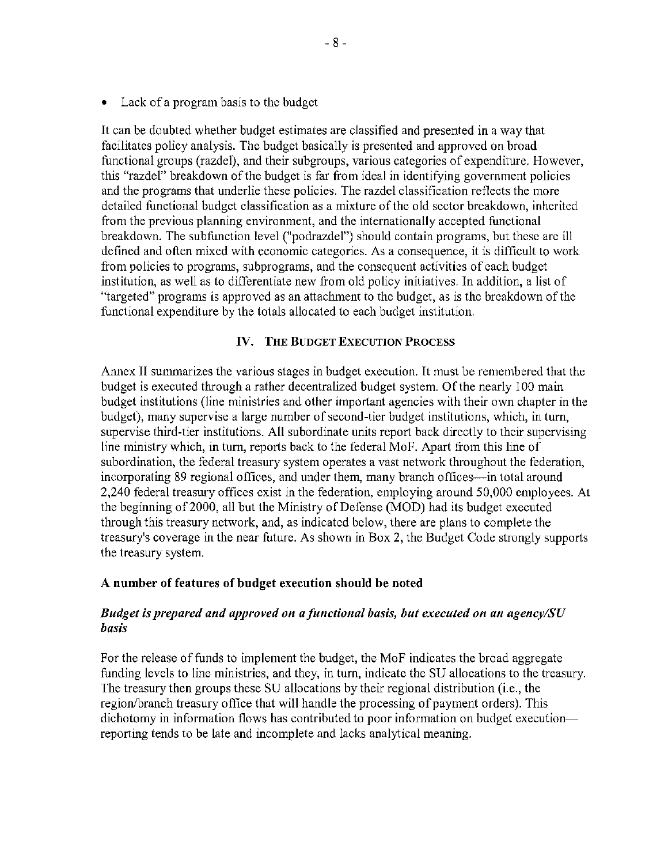• Lack of a program basis to the budget

It can be doubted whether budget estimates are classified and presented in a way that facilitates policy analysis. The budget basically is presented and approved on broad functional groups (razde!), and their subgroups, various categories of expenditure. However, this "razdel" breakdown of the budget is far from ideal in identifying government policies and the programs that underlie these policies. The razdel classification reflects the more detailed functional budget classification as a mixture of the old sector breakdown, inherited from the previous planning environment, and the internationally accepted functional breakdown. The subfunction level ("podrazdel") should contain programs, but these arc ill defined and often mixed with economic categories. As a consequence, it is difficult to work from policies to programs, subprograms, and the consequent activities of each budget institution, as well as to differentiate new from old policy initiatives. In addition, a list of "targeted" programs is approved as an attachment to the budget, as is the breakdown of the functional expenditure by the totals allocated to each budget institution.

### [IV. THE BUDGET EXECUTION PROCESS](#page--1-0)

Annex II summarizes the various stages in budget execution. It must be remembered that the budget is executed through a rather decentralized budget system. Of the nearly 100 main budget institutions (line ministries and other important agencies with their own chapter in the budget), many supervise a large number of second-tier budget institutions, which, in turn, supervise third-tier institutions. All subordinate units report back directly to their supervising line ministry which, in turn, reports back to the federal MoF. Apart from this line of subordination, the federal treasury system operates a vast network throughout the federation, incorporating 89 regional offices, and under them, many branch offices—in total around 2,240 federal treasury offices exist in the federation, employing around 50,000 employees. At the beginning of2000, all but the Ministry of Defense (MOD) had its budget executed through this treasury network, and, as indicated below, there are plans to complete the treasury's coverage in the near future. As shown in Box 2, the Budget Code strongly supports the treasury system.

### A number of features of budget execution should be noted

### *Budget is prepared and approved on a functional basis, but executed on an agencylSU basis*

For the release of funds to implement the budget, the MoF indicates the broad aggregate funding levels to line ministries, and they, in turn, indicate the SU allocations to the treasury. The treasury then groups these SU allocations by their regional distribution (i.e., the region/branch treasury office that will handle the processing of payment orders). This dichotomy in information flows has contributed to poor information on budget execution reporting tends to be late and incomplete and lacks analytical meaning.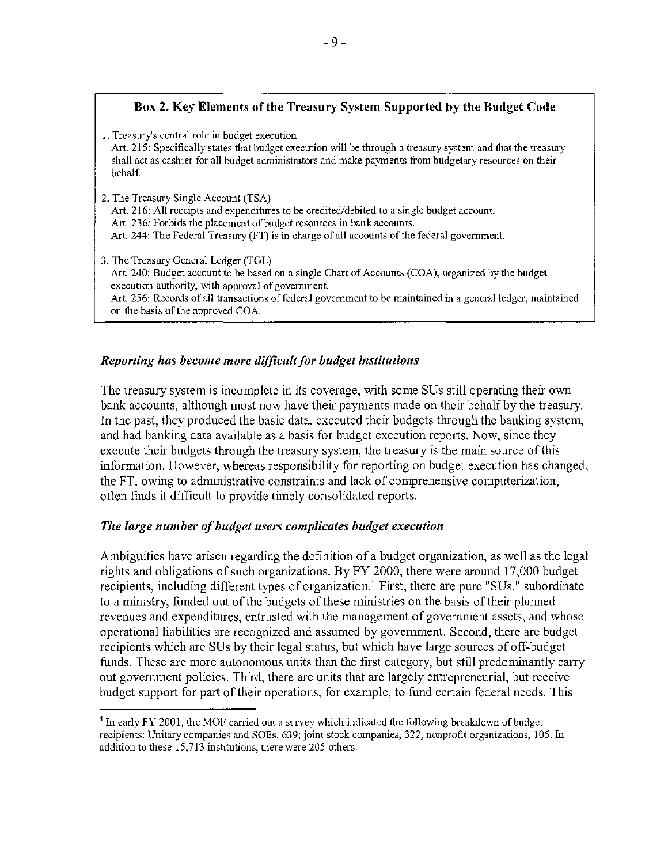## [Box 2. Key Elements of the Treasury System Supported by the Budget Code](#page--1-1)

1. Treasury's central role in budget execution Art. 215: Specifically states that budget execution will be through a treasury system and that the treasury shall act as cashier for all budget administrators and make payments from budgetary resources on their behalf. 2. The Treasury Single Account (TSA) Art. 216: All receipts and expenditures to be credited/debited to a single budget account. Art. 236: Forbids the placement of budget resources in bank accounts. Art. 244: The Federal Treasury (FT) is in charge of alI accounts of the federal government. 3. The Treasury General Ledger (TGL) Art. 240: Budget account to be based on a single Chart of Accounts (COA), organized by the budget execution authority, with approval of government. Art. 256: Records of all transactions of federal government to be maintained in a general ledger, maintained on the basis of the approved COA.

### *Reporting has become more difficult for budget institutions*

The treasury system is incomplete in its coverage, with some SUs still operating their own bank accounts, although most now have their payments made on their behalf by the treasury. In the past, they produced the basic data, executed their budgets through the banking system, and had banking data available as a basis for budget execution reports. Now, since they execute their budgets through the treasury system, the treasury is the main source of this information. However, whereas responsibility for reporting on budget execution has changed, the FT, owing to administrative constraints and lack of comprehensive computerization, often finds it difficult to provide timely consolidated reports.

### *The large number of budget users complicates budget execution*

Ambiguities have arisen regarding the definition of a budget organization, as well as the legal rights and obligations of such organizations. By FY 2000, there were around 17.000 budget recipients, including different types of organization.<sup>4</sup> First, there are pure "SUs," subordinate to a ministry, funded out of the budgets of these ministries on the basis of their planned revenues and expenditures, entrusted with the management of government assets, and whose operational liabilities are recognized and assumed by government. Second, there are budget recipients which are SUs by their legal status, but which have large sources of off-budget funds. These are more autonomous units than the first category, but still predominantly earry out government policies. Third, there are units that are largely entrepreneurial, but receive budget support for part of their operations. for example, to fund certain federal needs. This

<sup>&</sup>lt;sup>4</sup> In early FY 2001, the MOF carried out a survey which indicated the following breakdown of budget recipients: Unitary companies and SOEs, 639; joint stock companies, 322, nonprofit organizations, 105. In addition to these 15,713 institutions, there were 205 others.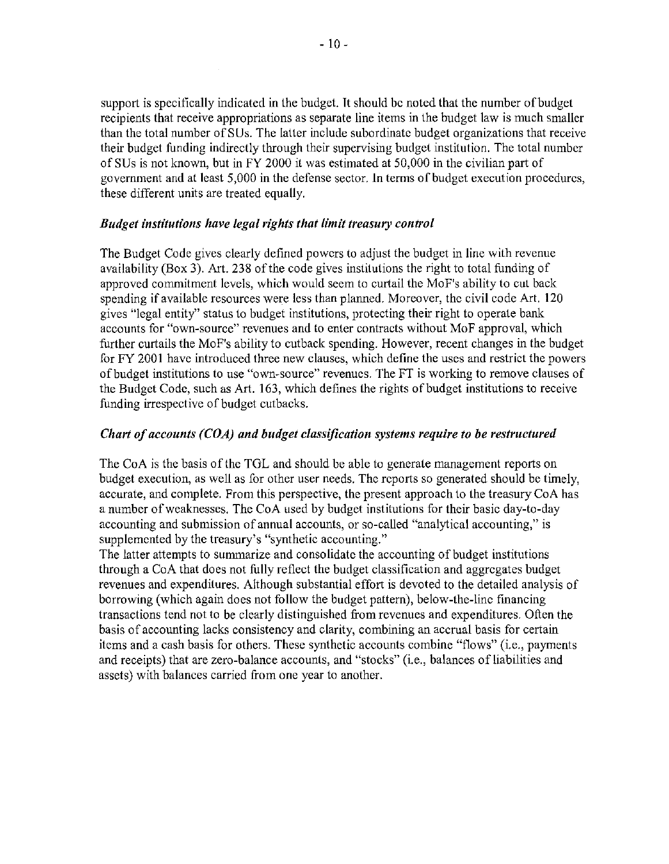support is specifically indicated in the budget. It should be noted that the number of budget recipients that receive appropriations as separate line items in the budget law is much smaller than the total number of SUs. The latter include subordinate budget organizations that receive their budget funding indirectly through their supervising budget institution. The total number of SUs is not known, but in FY 2000 it was estimated at 50,000 in the civilian part of government and at least 5,000 in the defense sector. In terms of budget execution procedures, these different units are treated equally.

### *Budget institutions have legal rights that limit treasury control*

The Budget Code gives clearly defined powers to adjust the budget in line with revenue availability (Box 3). Art. 238 of the code gives institutions the right to total funding of approved commitment levels, which would seem to curtail the MoF's ability to cut back spending if available resources were less than planned. Moreover, the civil code Art. 120 gives "legal entity" status to budget institutions, protecting their right to operate bank accounts for "own-source" revenues and to enter contracts without MoF approval, which further curtails the MoF's ability to cutback spending. However, recent changes in the budget for FY 2001 have introduced three new clauses, which define the uses and restrict the powers of budget institutions to use "own-source" revenues. The FT is working to remove clauses of the Budget Code, such as Art. 163, which defines the rights of budget institutions to receive funding irrespective of budget cutbacks.

### *Chart of accounts (COA) and budget classification systems require to be restructured*

The CoA is the basis of the TGL and should be able to generate management reports on budget execution, as well as for other user needs. The reports so generated should be timely, accurate, and complete. From this perspective, the present approach to the treasuryCoA has a number of weaknesses. The CoA used by budget institutions for their basic day-to-day accounting and submission of annual accounts, or so-called "analytical accounting," is supplemented by the treasury's "synthetic accounting."

The latter attempts to summarize and consolidate the accounting of budget institutions through a CoA that does not fully reflect the budget classification and aggregates budget revenues and expenditures. Although substantial effort is devoted to the detailed analysis of borrowing (which again does not follow the budget pattem), below-the-line fmancing transactions tend not to be clearly distinguished from revenues and expenditures. Often the basis of accounting lacks consistency and clarity, combining an accrual basis for certain items and a cash basis for others. These synthetic accounts combine "flows" (i.e., payments and receipts) that are zero-balance accounts, and "stocks" (i.e., balances of liabilities and assets) with balances carried from one year to another.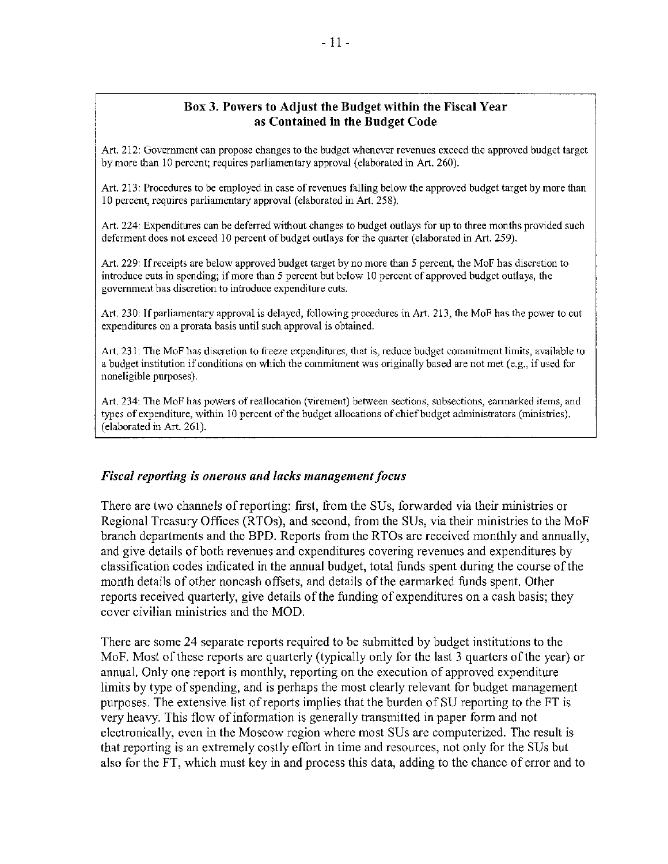#### [Box 3. Powers to Adjust the Budget within the Fiscal Year](#page--1-0) as Contained in the Budget Code

Art. 212: Government can propose changes to the budget whenever revenues exceed the approved budget target by more than 10 percent; requires parliamentary approval (elaborated in Art. 260).

Art. 213: Procedures to be employed in case of revenues falling below the approved budget target by more than 10 percent, requires parliamentary approval (elaborated in Art. 258).

Art. 224: Expenditures can be deferred without changes to budget outlays for up to three months provided such deferment does not exceed 10 percent of budget outlays for the quarter (elaborated in Art. 259).

Art. 229: If receipts are below approved budget target by no more than 5 percent, the MoF has discretion to introduce cuts in spending; if more than 5 percent but below 10 percent of approved budget outlays, the government has discretion to introduce expenditure cuts.

Art. 230: If parliamentary approval is delayed, following procedures in Art. 213, the MoF has the power to cut expenditures on a prorata basis until such approval is obtained.

Art. 231: The MoF has discretion to freeze expenditures, that is, reduce budget commitment limits, available to a budget institution if conditions on which the commitment was originally based are not met (e.g., if used for noneligible purposes).

Art. 234: The MoF has powers ofreallocation (virement) between sections, subsections, earmarked items, and types of expenditure, within 10 percent of the budget allocations of chief budget administrators (ministries). (elaborated in Art. 261).

#### *Fiscal reporting is onerous and lacks management focus*

There are two channels of reporting: first, from the SUs, forwarded via their ministries or Regional Treasury Offices (RTOs), and second, from the SUs, via their ministries to the MoF branch departments and the BPD. Reports from the RTOs are received monthly and annually, and give details of both revenues and expenditures covering revenues and expenditures by classification codes indicated in the annual budget, total funds spent during the course of the month details of other noncash offsets, and details of the earmarked funds spent. Other reports received quarterly, give details of the funding of expenditures on a cash basis; they cover civilian ministries and the MOD.

There are some 24 separate reports required to be submitted by budget institutions to the MoF. Most of these reports are quarterly (typically only for the last 3 quarters of the year) or annual. Only one report is monthly, reporting on the execution of approved expenditure limits by type of spending, and is perhaps the most clearly relevant for budget management purposes. The extensive list of reports implies that the burden of SU reporting to the FT is very heavy. This flow of information is generally transmitted in paper form and not electronically, even in the Moscow region where most SUs are computerized. The result is that reporting is an extremely costly effort in lime and resources, not only for the SUs but also for the FT, which must key in and process this data, adding to the chance of error and to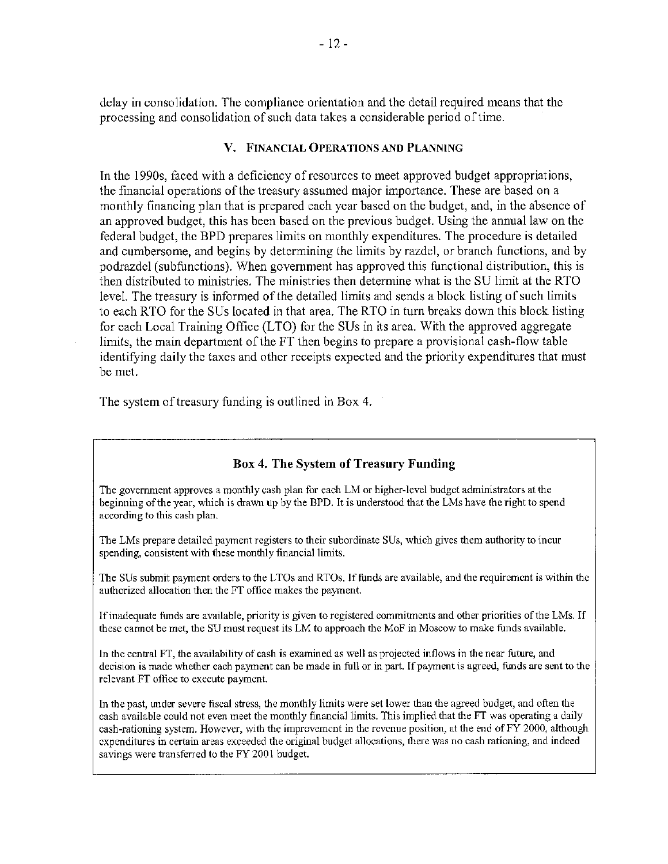delay in consolidation. The compliance orientation and the detail required means that the processing and consolidation of such data takes a considerable period of time.

#### V. FINANCIAL OPERATIONS AND PLANNING

In the 1990s, faced with a deficiency of resources to meet approved budget appropriations, the financial operations of the treasury assumed major importance. These are based on a monthly financing plan that is prepared each year based on the budget, and, in the absence of an approved budget, this has been based on the previous budget. Using the annual law on the federal budget, the BPD prepares limits on monthly expenditures. The procedure is detailed and cumbersome, and begins by determining the limits by razdel, or branch functions, and by podrazdcl (subfunctions). When government has approved this functional distribution, this is then distributed to ministries. The ministries then determine what is the SU limit at the RTO level. The treasury is informed of the detailed limits and sends a block listing of such limits to each RTO for the SUs located in that area. The RTO in turn breaks down this block listing for each Local Training Office (LTO) for the SUs in its area. With the approved aggregate limits, the main department of the FT then begins to prepare a provisional cash-flow table identifying daily the taxes and other receipts expected and the priority expenditures that must be met.

The system of treasury funding is outlined in Box 4.

### [Box 4. The System of Treasury Funding](#page--1-0)

The government approves a monthly cash plan for each LM or higher-level budget administrators at the beginning of the year, which is drawn up by the BPD. It is understood that the LMs have the right to spend according to this cash plan.

*111e* LMs prepare detailed payment registers to their subordinate SUs, which gives them authority to incur spending, consistent with these monthly financial limits.

The SUs submit payment orders to the LTOs and RTOs. If funds are available, and the requirement is within the authorized allocation then the FT office makes the payment.

Ifinadequate funds are available, priority is given to registered commitments and other priorities of the LMs. If these cannot be met, the SU must request its LM to approach the MoF in Moscow to make funds available.

In the central FT, the availability of cash is examined as well as projected inflows in the near future, and decision is made whether each payment can be made in full or in part. If payment is agreed, funds are sent to the relevant FT office to execute payment.

In the past, under severe fiscal stress, the monthly limits were set lower than the agreed budget, and often the cash available could not even meet the monthly financial limits. This implied that the FT was operating a daily cash-rationing system. However, with the improvement in the revenue position, at the end of FY 2000, although expenditures in certain areas exceeded the original budget allocations, there was no cash rationing, and indeed savings were transferred to the FY 2001 budget.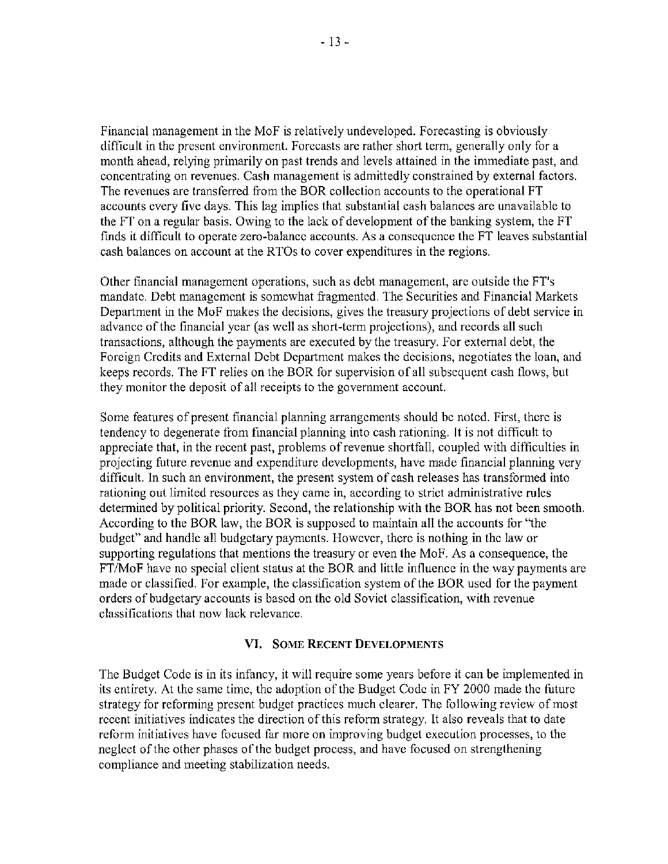Financial management in the MoF is relatively undeveloped. Forecasting is obviously difficult in the present environment. Forecasts are rather short term, generally only for a month ahead, relying primarily on past trends and levels attained in the immediate past, and concentrating on revenues. Cash management is admittedly constrained by external factors. The revenues are transferred from the BOR collection accounts to the operational FT accounts every five days. This lag implies that substantial cash balances are unavailable to the FT on a regular basis. Owing to the lack of development of the banking system, the FT finds it difficult to operate zero-balance accounts. As a conscqucnce the FT leaves substantial cash balances on account at the RTOs to cover expenditures in the regions.

Other financial management operations, such as debt management, are outside the FT's mandatc. Debt managcmcnt is somcwhat fragmented. The Securities and Financial Markets Department in the MoF makes the decisions, gives the treasury projections of debt service in advance of the financial year (as well as short-term projections), and records all such transactions, although the payments are executed by the treasury. For external debt, the Foreign Credits and External Debt Department makes the decisions, negotiates the loan, and keeps records. The FT relies on the BOR for supervision of all subsequent cash flows, but they monitor the deposit of all receipts to the government account.

Some features of present financial planning arrangements should be noted. First, there is tendency to degenerate from financial planning into cash rationing. It is not difficult to appreciate that, in the recent past, problems of revenue shortfall, coupled with difficulties in projecting future revenue and expenditure developments, have made financial planning very difficult. In such an environment, the present system of cash releases has transiormed into rationing out limited resources as they came in, according to strict administrative rules determined by political priority. Second, the relationship with the BOR has not been smooth. According to the BOR law, the BOR is supposed to maintain all the accounts for "the budget" and handle all budgetary payments. However, there is nothing in the law or supporting regulations that mentions the treasury or even the MoF. As a consequence, the FTlMoF have no special client status at the BOR and little influence in the way payments are made or classified. For example, the classification system of the BOR used for the payment orders of budgetary accounts is based on the old Soviet classification, with revenue classifications that now lack relevance.

### **VI.** [SOME RECENT DEVELOPMENTS](#page--1-0)

The Budget Code is in its infancy, it will require some years before it can be implemented in its entirety. At the same time, the adoption of the Budget Code in FY 2000 made the future strategy for reforming present budget practices much clearer. The following review of most recent initiatives indicates the direction of this reform strategy. It also reveals that to date reform initiatives have focused far more on improving budget execution processes, to the neglect of the other phases of the budget process, and have focused on strengthening compliance and meeting stabilization needs.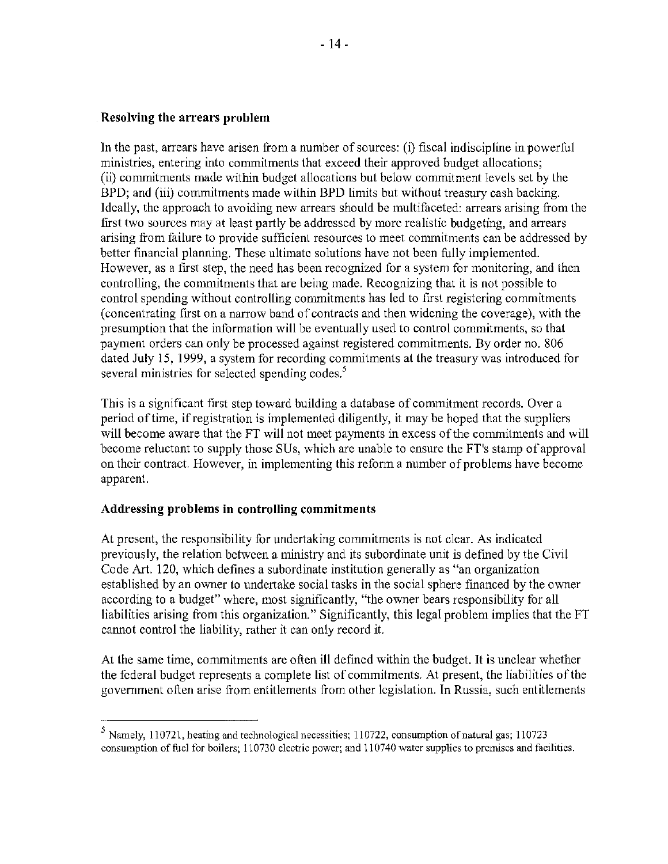### Resolving the arrears problem

In the past, arrears have arisen from a number of sources: (i) fiscal indiscipline in powerful ministries, entering into commitments that exceed their approved budget allocations; (ii) commitments made within budget allocations but below commitment levels set by the BPD; and (iii) commitments made within BPD limits but without treasury cash backing. Idcally, thc approach to avoiding new arrears should be multifaceted: arrears arising from the frrst two sources may at least partly be addrcsscd by more realistic budgeting, and arrears arising from failure to provide sufficient resources to meet commitments can be addresscd by better financial planning. These ultimatc solutions have not been fully implemented. However, as a frrst step, the need has been recognized for a system for monitoring, and then controlling, the commitments that are being made. Recognizing that it is not possible to control spending without controlling commitments has led to first registering commitments (concentrating first on a narrow band of contracts and then widening the coverage), with the presumption that the information will be eventually used to control commitments, so that payment orders can only be processed against registered commitments. By order no. 806 dated July 15, 1999, a system for recording commitments at the treasury was introduced for several ministries for selected spending codes.<sup>5</sup>

This is a significant first step toward building a database of commitment records. Over a period oftime, if registration is implemented diligently, it may be hoped that the supplicrs will become aware that the FT will not meet payments in excess of the commitments and will become reluctant to supply those SUs, which are unable to ensure the FT's stamp of approval on thcir contract. However, in implementing this reform a number of problems have become apparent.

### Addressing problems in controlling commitments

At present, the responsibility for undertaking commitments is not clear. As indicated previously, the relation bctwcen a ministry and its subordinate unit is defmed by the Civil Code Art. 120, which defines a subordinate institution generally as "an organization established by an owner to undertake social tasks in the social sphere financed by the owner according to a budget" where, most significantly, "the owner bears responsibility for all liabilities arising from this organization." Significantly, this legal problem implies that the FT cannot control the liability, rather it can only record it.

At the same time, commitments are often ill dcfmcd within the budget. It is unclear whether the federal budgct represents a complete list of commitments. At present, the liabilities ofthe government often arise from entitlements from other legislation. In Russia, such entitlements

<sup>&</sup>lt;sup>5</sup> Namely, 110721, heating and technological necessities; 110722, consumption of natural gas; 110723 consumption of fuel for boilers; 110730 electric power; and 110740 water supplies to premises and facilities.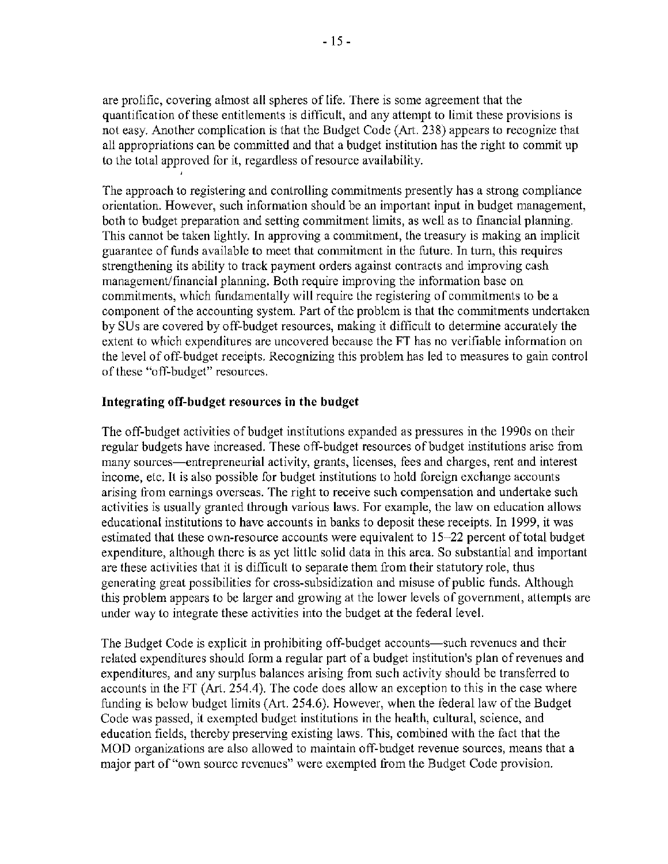are prolific, covering almost all spheres of life. There is some agreement that the quantilication of these entitlements is difficult, and any attempt to limit these provisions is not easy. Another complication is that the Budget Code (Art. 238) appears to recognize that all appropriations can be committed and that a budget institution has the right to commit up to the total approved [or it, regardless of resource availability.

The approach to registering and controlling commitments presently has a strong compliance orientation. However, such information should be an important input in budget management, both to budget preparation and setting commitment limits, as wcll as to financial planning. This cannot be taken lightly. In approving a commitment, the treasury is making an implicit guarantee of funds available to meet that conunitmcnt in thc futurc. In tum, this requires strengthening its ability to track payment orders against contracts and improving cash management/financial planning. Both require improving the information basc on commitments, which fundamentally will require the registering of commitments to be a component of the accounting system. Part of the problem is that the commitments undertaken by SUs are covered by off-budget resources, making it difficult to determine accurately the extent to which expenditures are uncovered because the FT has no verifiable information on the level of off-budget receipts. Recognizing this problem has led to measures to gain control of these "off-budget" resources.

### Integrating **off-budget** resources **in the budget**

The off-budget activities of budget institutions expanded as pressures in the 1990s on their regular budgets have increased. These off-budget resources of budget institutions arisc from many sources—entrepreneurial activity, grants, licenses, fees and charges, rent and interest income, etc. It is also possible for budget institutions to hold foreign exchange accounts arising from earnings overscas. The right to receive such compensation and undertake such activities is usually granted through various laws. For example, the law on education allows educational institutions to have accounts in banks to deposit these receipts. In 1999, it was estimated that these own-resource accounts were equivalent to 15-22 percent of total budget expenditure, although therc is as yet little solid data in this area. So substantial and important are these activities that it is difficult to separate them [rom their statutory role, thus generating great possibilities for cross-subsidization and misuse of public funds. Although this problem appears to be larger and growing at the lower levels of government, attempts are under way to integrate these activities into the budget at the federal level.

The Budget Code is explicit in prohibiting off-budget accounts-such revenues and their related expenditures should form a regular part of a budget institution's plan of revenues and expenditures, and any surplus balances arising from such activity should be transferred to accounts in the FT (Art. 254.4). The code does allow an exception to this in the case where funding is below budget limits (Art. 254.6). However, when the federal law of the Budget Code was passed, it exempted budget institutions in the health, cultural, science, and education fields, thercby preserving existing laws. This, combined with the fact that the MOD organizations are also allowed to maintain off-budget revenue sources, means that a major part of "own source rcvenucs" were exempted from the Budget Code provision.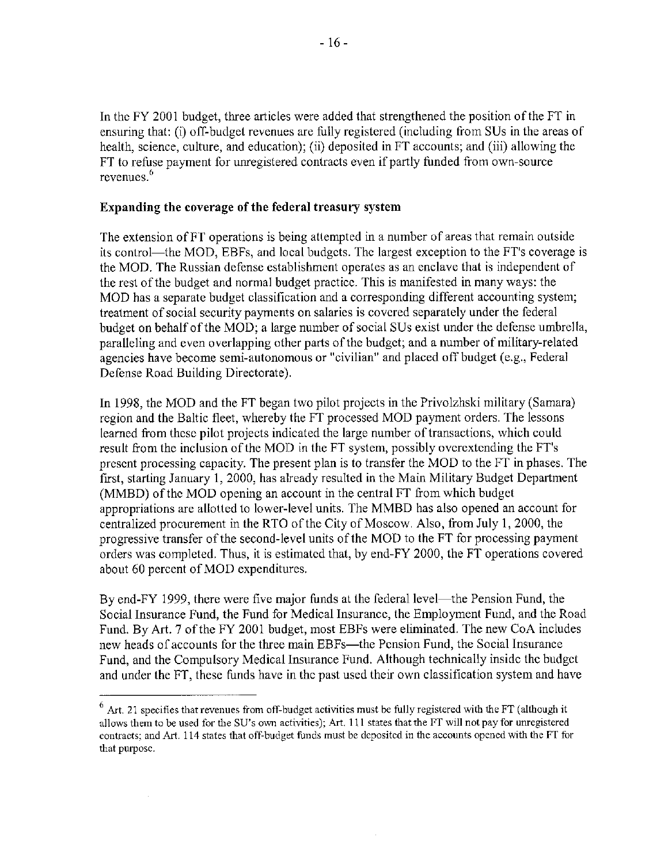In the FY 2001 budget, three articles were added that strengthened the position ofthe FT in ensuring that: (i) off-budget revenues are fully registered (including from SUs in the areas of health, science, culture, and education); (ii) deposited in FT accounts; and (iii) allowing the FT to refuse payment for unregistered contracts even if partly funded from own-source revenues. 6

#### Expanding the coverage of the federal treasury system

The extension ofFT operations is being attempted in a number of areas that remain outside its control—the MOD, EBFs, and local budgets. The largest exception to the FT's coverage is the MOD. The Russian defense establishment operates as an enclave that is independent of the rest of the budget and normal budget practice. This is manifested in many ways: the MOD has a separate budget classification and a corresponding different accounting system; treatment of social security payments on salaries is covered separately under the federal budget on behalf of the MOD; a large number of social SUs exist under the defense umbrella, paralleling and even overlapping other parts of the budgct; and a number of military-related agencies have become semi-autonomous or "civilian" and placed off budget (e.g., Federal Defense Road Building Directorate).

In 1998, the MOD and the FT began two pilot projects in the Privolzhski military (Samara) region and the Baltic fleet, whereby the FT processed MOD payment orders. The lessons learned from these pilot projects indicated the large number of transactions, which could result from the inclusion of the MOD in the FT system, possibly overextending the FT's present processing capacity. The present plan is to transfer the MOD to the FT in phases. The first, starting January 1, 2000, has already resulted in the Main Military Budget Department (MMBD) of the MOD opening an account in the central FT from which budget appropriations are allotted to lower-level units. The MMBD has also opened an account for centralized procurement in the RTO of the City of Moscow. Also, from July 1, 2000, the progressive transfer of the second-level units of the MOD to the FT for processing payment orders was completed. Thus, it is estimated that, by end-FY 2000, the FT operations covered about 60 percent of MOD expenditures.

By end-FY 1999, there were five major funds at the federal level—the Pension Fund, the Social Insurance Fund, the Fund for Medical Insurance, the Employment Fund, and the Road Fund. By Art. 7 of the FY 2001 budget, most EBFs were eliminated. The new CoA includes new heads of accounts for the three main EBFs-the Pension Fund, the Social Insurance Fund, and the Compulsory Medical Insurance Fund. Although technically inside the budget and under the FT, these funds have in the past used their own classification system and have

 $6$  Art. 21 specifies that revenues from off-budget activities must be fully registered with the FT (although it allows them to be used for the SU's own activities); Art, 111 states that the FT will not pay for unregistered contracts; and Art. 114 states that off-budget funds must be dcpositcd in the accounts opened with the FT for that purposc.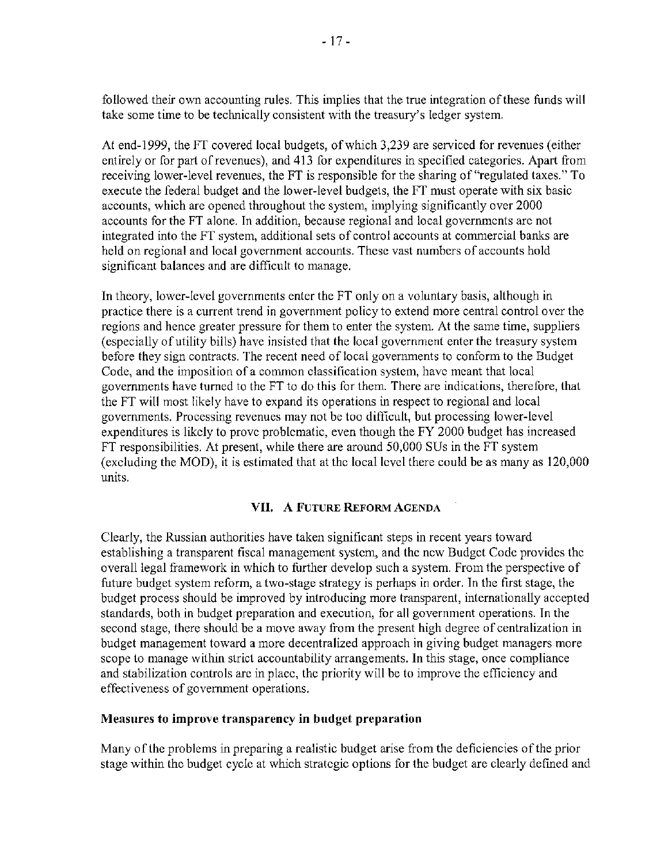followed their own accounting rules. This implies that the true integration of these funds will take some time to be technically consistent with the treasury's ledger system.

At end-1999, the FT covered local budgets, of which 3,239 are serviced for revenues (either entirely or for part of revenues), and 413 for expenditures in specified categories. Apart from receiving lower-level revenues, the FT is responsible for the sharing of "regulated taxes." To execute the federal budget and the lower-level budgets, the FT must operate with six basic accounts, which are opened throughout the system, implying significantly over 2000 accounts for the FT alone. In addition, because regional and local governmcnts arc not integrated into the FT system, additional sets of control accounts at commercial banks are held on regional and local government accounts. These vast numbers of accounts hold significant balances and are difficult to manage.

In theory, lower-level governments enter the FT only on a voluntary basis, although in practice there is a current trend in government policy to extend more central control over the regions and hence greater pressure for them to enter the system. At the same time, suppliers (especially of utility bills) have insisted that the local government enter the treasury system before they sign contracts. The recent need of local governments to conform to the Budget Code, and the imposition of a common classification system, have meant that local governments have turned to the FT to do this for them. There are indications, therefore, that the FT will most likely have to expand its operations in respect to regional and local governments. Processing revenues may not be too difficult, but processing lower-level expenditures is likely to prove problematic, even though the FY 2000 budget has increased FT responsibilities. At present, while there are around 50,000 SUs in the FT system (excluding the MOD), it is estimated that at the local level there could be as many as 120,000 units.

## [VII. A FUTURE](#page--1-0) REFORM AGENDA

Clearly, the Russian authorities have taken significant steps in recent years toward establishing a transparent fiscal management system, and the new Budget Code provides the overall legal framework in which to further develop such a system. From the perspective of future budget system reform, a two-stage strategy is perhaps in order. In the first stage, the budget process should be improved by introducing more transparent, internationally accepted standards, both in budget preparation and execution, for all government operations. In the second stage, there should be a move away from the present high degree of centralization in budget management toward a more decentralized approach in giving budget managers more scope to manage within strict accountability arrangements. In this stage, once compliance and stabilization controls are in place, thc priority will be to improve the efficiency and effectiveness of government operations.

### Measures to improve transparency **in** budget preparation

Many of the problems in preparing a realistic budget arise from the deficiencies of the prior stage within the budget cycle at which strategic options for the budget are clearly defined and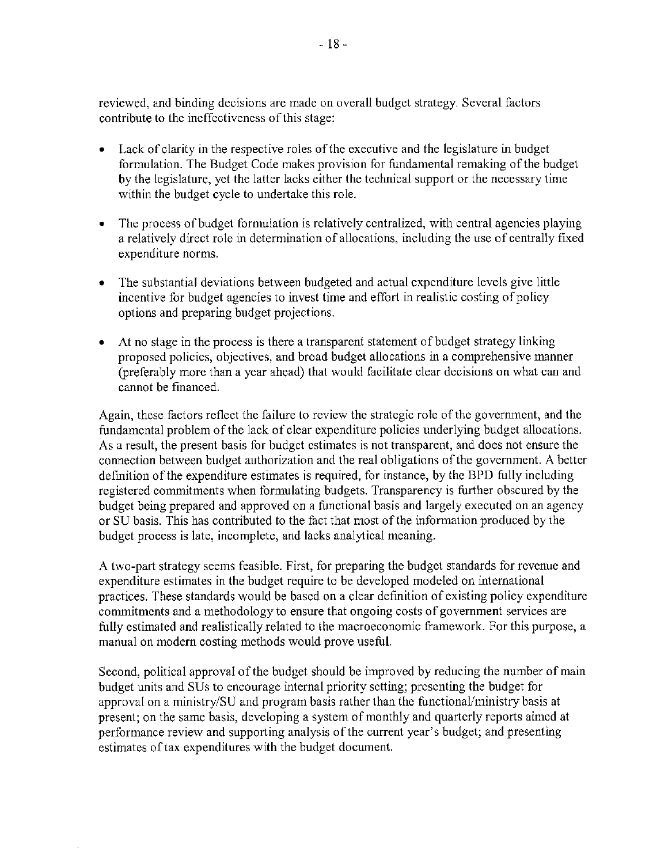reviewed, and binding decisions are made on overall budget strategy. Several factors contribute to the ineffectiveness of this stage:

- Lack of clarity in the respective roles of the executive and the legislature in budget formulation. The Budget Code makes provision for fundamental remaking of the budget by the legislature, yet the latter lacks either the technical support or the necessary time within the budget cycle to undertake this role.
- The process of budget formulation is relatively centralized, with central agencies playing a relatively direct role in determination of allocations, including the use of centrally fixed expenditure norms.
- The substantial deviations between budgeted and actual expenditure levels give little incentive for budget agencies to invest time and effort in realistic costing of policy options and preparing budget projections.
- At no stage in the process is there a transparent statement of budget strategy linking proposed policies, objectives, and broad budget allocations in a comprehensive manner (preferably more than a year ahead) that would facilitate clear decisions on what can and cannot be financed.

Again, these factors reflect the failure to review the strategic role of the government, and the fundamental problem of the lack of clear expenditure policies underlying budget allocations. As a result, the present basis for budget estimates is not transparent, and does not ensure the connection between budget authorization and the real obligations of the government. A better defmition of the expenditure estimates is required, for instance, by the BPD fully including registered commitments when tormulating budgets. Transparency is further obscured by the budget being prepared and approved on a functional basis and largely executed on an agency or SU basis. This has contributed to the fact that most of the information produced by the budget process is late, incomplete, and lacks analytical meaning.

A two-part strategy seems feasible. First, for preparing the budget standards for rcvcnuc and expenditure estimates in the budget require to be developed modeled on international practices. These standards would be based on a clear definition of existing policy expenditure commitments and a methodology to ensure that ongoing costs of government services are fully estimated and realistically related to the macroeconomic framework. For this purpose, a manual on modern costing methods would prove useful.

Second, political approval of the budget should be improved by reducing the number of main budget units and SUs to encourage internal priority setting; presenting the budget for approval on a ministry/SU and program basis rather than the functional/ministry basis at present; on the same basis, developing a system of monthly and quarterly reports aimed at performance review and supporting analysis of the current year's budget; and presenting estimates of tax expenditures with the budget document.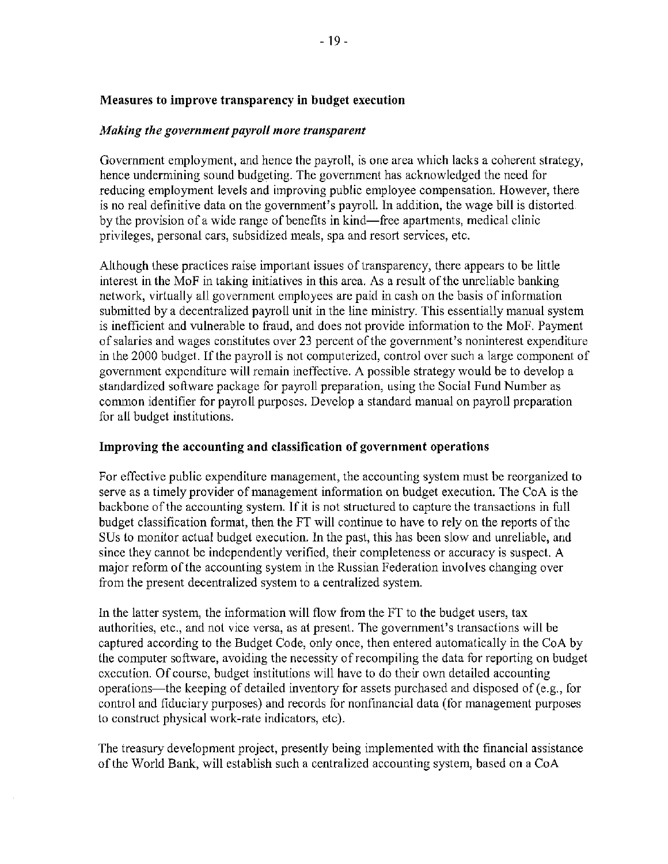# Measures to improve trausparency **in** budget execution

# *Making the government payroll more transparent*

Government employment, and hence the payroll, is one area which lacks a coherent strategy, hence undermining sound budgeting. The government has acknowledged the need for reducing employment levels and improving public employee compensation. However, there is no real defmitive data on the government's payroll. In addition, the wage bill is distorted by the provision of a wide range of benefits in kind-free apartments, medical clinic privileges, personal cars, subsidized meals, spa and resort services, etc.

Although these practices raise important issues of transparency, there appears to be little interest in the MoF in taking initiativcs in this arca. As a result of the unrcliable banking network, virtually all government employees are paid in cash on the basis of information submitted by a decentralized payroll unit in the line ministry. This essentially manual system is inefficient and vulnerable to fraud, and does not provide information to the MoF. Payment of salaries and wages constitutes over 23 percent of the government's noninterest expenditure in the 2000 budget. If the payroll is not computerized, control over such a large component of government expenditure will remain ineffective. A possible strategy would be to develop a standardized software package for payroll preparation, using the Social Fund Number as common identifier for payroll purposes. Devclop a standard manual on payroll preparation for all budget institutions.

# Improving the accounting and classification of government operations

For effective public expenditure management, the accounting system must be reorganized to serve as a timely provider of management information on budget execution. The CoA is the backbone of the accounting system. Ifit is not structured to capture the transactions in full budget classification format, then the FT will continue to have to rely on the reports of the SUs to monitor actual budget execution. In the past, this has been slow and unreliable, and sinec they cannot be independently verified, their completeness or accuracy is suspect. A major reform of the accounting system in the Russian Federation involves changing over from the present decentralized system to a centralized system.

In the latter system, the information will flow from the FT to the budget users, tax authorities, etc., and not vice versa, as at present. The government's transactions will be captured according to the Budget Code, only once, then entered automatically in the CoA by the computer software, avoiding the necessity of recompiling the data for reporting on budget execution. Of course, budget institutions will have to do their own detailed accounting operations-the keeping of detailed inventory for assets purchased and disposed of (e.g., [or control and fiduciary purposes) and records for nonfinancial data (tor management purposes to construct physical work-rate indicators, etc).

The treasury development project, presently being implemented with the financial assistance ofthe World Bank, will establish such a centralized accounting system, based on a CoA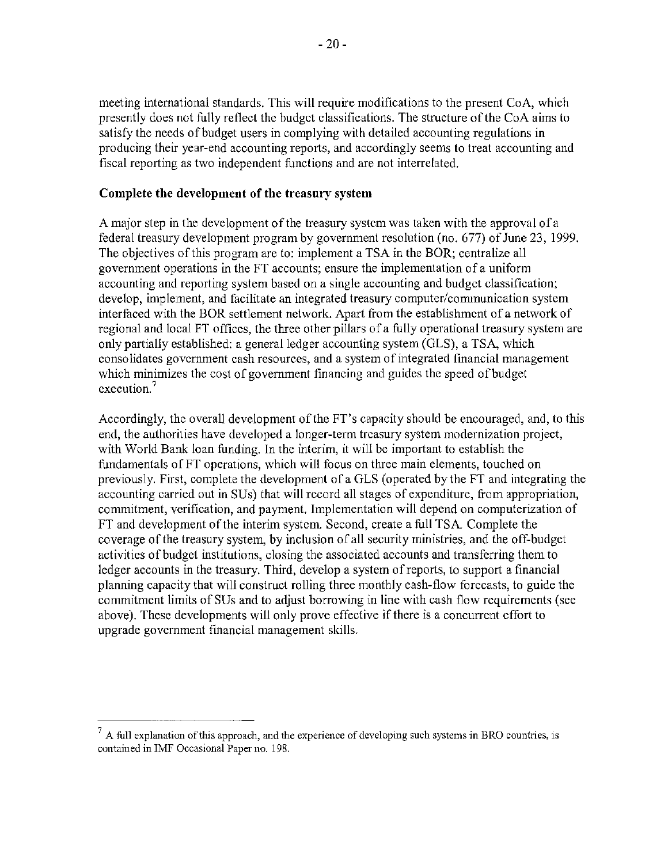meeting international standards. This will require modifications to the present CoA, which presently does not fully reflect the budget classifications. The structure of the CoA aims to satisfy the needs of budget users in complying with detailed accounting regulations in producing their year-end accounting reports, and accordingly seems to treat accounting and fiscal reporting as two independent functions and are not interrelated.

### Complete the development of the treasury system

A major step in the development of the treasury systcm was taken with the approval ofa federal treasury development program by government resolution (no. 677) of June 23, 1999. The objectives of this program are to: implement a TSA in the BOR; centralize all government operations in the FT accounts; ensure the implementation of a uniform accounting and reporting system based on a single accounting and budgct classification; develop, implement, and facilitate an integrated treasury computer/communication system interfaced with the BOR settlement network. Apart from the establishment of a network of regional and local FT offices, the three other pillars of a fully operational treasury system are only partially established: a general ledger accounting system (GLS), a TSA, which consolidates government cash resources, and a system of integrated financial management which minimizes the cost of government financing and guides thc speed of budget **execution. <sup>7</sup>**

Accordingly, the overall development of the FT's capacity should be encouraged, and, to this end, the authorities have developed a longer-term trcasury system modernization project, with World Bank loan funding. **In** the interim, it will be important to establish the fundamentals ofFT operations, which will focus on three main elements, touched on previously. First, complete the development of a GLS (operated by the FT and integrating the accounting carried out in SUs) that will record all stages of expenditure, from appropriation, conunitment, verification, and payment. Implementation will depend on computerization of FT and development of the interim system. Second, create a full TSA Complete the coverage of the treasury system, by inclusion of all security ministries, and the off-budget activities of budget institutions, closing the associated accounts and transferring them to ledger accounts in the treasury. Third, develop a system of reports, to support a financial planning capacity that will construct rolling three monthly cash-flow forccasts, to guide the commitment limits of SUs and to adjust borrowing in line with cash flow requirements (see above). These developments will only prove effective if there is a concurrent effort to upgrade government financial management skills.

<sup>7</sup> **A full explanation** of this **approach, and the experience of developing such systems in BRO countries, is contained in IMF Occasional Paper no. 198.**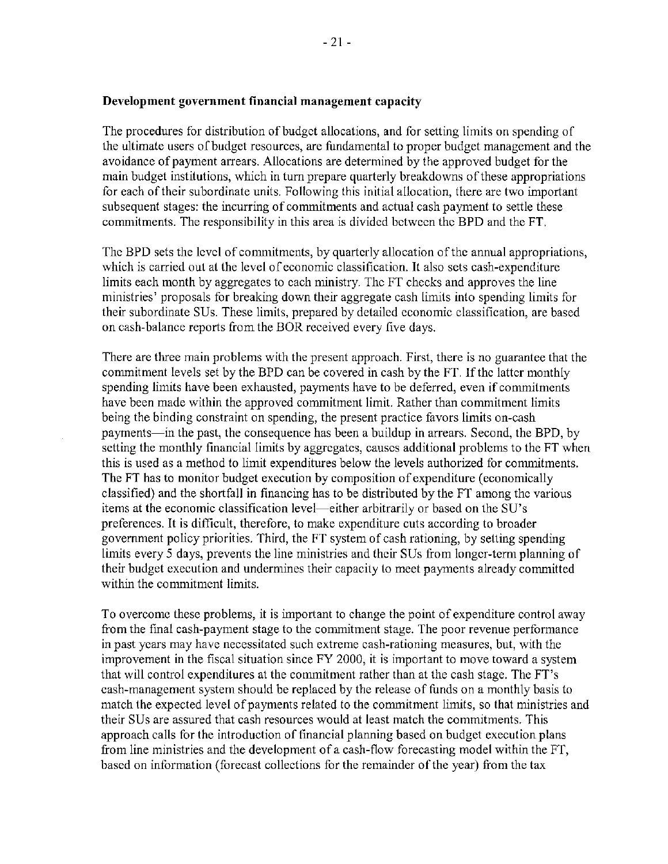#### Development government **financial** management capacity

The procedures for distribution of budget allocations, and for setting limits on spending of the ultimate users of budget resources, are fundamental to proper budget management and the avoidance of paymcnt arrears. Allocations are determined by the approved budget for the main budget institutions, which in turn prepare quarterly breakdowns ofthese appropriations for each of their subordinate units. Following this initial allocation, there are two important subsequent stages: the incurring of commitments and actual cash payment to settle these commitments. The responsibility in this area is divided bctwccn the BPD and the FT.

The BPD sets the level of commitments, by quarterly allocation of the annual appropriations, which is carried out at the level of economic classification. It also sets cash-expenditure limits each month by aggregates to each ministry. The FT checks and approves the line ministries' proposals for breaking down their aggregate cash limits into spending limits for their subordinate SUs. These limits, prepared by detailed economic classification, are based on cash-balance reports from the BOR received every five days.

There are three main problems with the present approach. First, there is no guarantee that the commitment levels set by the BPD can be covered in cash by the FT. If the latter monthly spending limits have been exhausted, payments have to be deferred, even if commitments have been made within the approved commitment limit. Rather than commitment limits being the binding constraint on spending, the present practice favors limits on-cash payments—in the past, the consequence has been a buildup in arrears. Second, the BPD, by setting the monthly financial limits by aggregates, causes additional problcms to the FT when this is used as a method to limit expenditures below the levels authorized for commitments. The FT has to monitor budget execution by composition of expenditure (economically classified) and the shortfall in financing has to be distributed by the FT among the various items at the economic classification level-either arbitrarily or based on the SU's preferences. It is difficult, therefore, to make expenditure cuts according to broader government policy priorities. Third, the FT system of cash rationing, by setting spending limits every 5 days, prevents the line ministries and their SUs from longer-term planning of their budget execution and undermines their capacity to meet payments already committed within the commitment limits.

To overcome these problems, it is important to change the point of expenditure control away from the final cash-payment stage to the commitment stage. The poor revenue performance in past years may have necessitated such extreme cash-rationing measures, but, with the improvement in the fiscal situation since FY 2000, it is important to move toward a system that will control expenditures at the commitment rather than at the cash stage. The FT's cash-management system should be replaced by the release of funds on a monthly basis to match the expected level of payments related to the commitment limits, so that ministries and their SUs are assured that cash resources would at least match the commitments. This approach calls for the introduction of financial planning based on budget execution plans from line ministries and the development of a cash-flow forecasting model within the FT, based on information (forecast collections for the remainder of the year) from the tax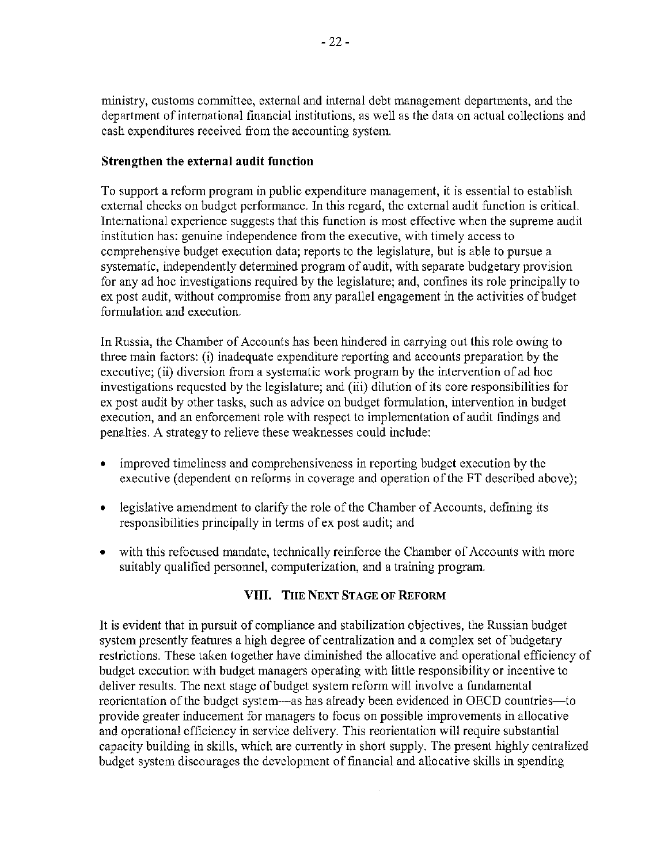ministry, customs committee, external and internal debt management departments, and the department of international financial institutions, as well as the data on actual collections and cash expenditures received from the accounting system.

### Strengthen the external **audit function**

To support a reform program in public expenditure management, it is essential to establish external checks on budget performance. In this regard, the external audit function is critical. International experience suggests that this function is most effective when the supreme audit institution has: genuine independence from the executive, with timely access to comprehensive budget execution data; reports to the legislature, but is able to pursue a systematic, independently determined program of audit, with separate budgetary provision for any ad hoc investigations required by the legislature; and, confines its role principally to ex post audit, without compromise from any parallel engagement in the activities of budget formulation and execution.

In Russia, the Chamber of Accounts has been hindered in carrying out this role owing to three main factors: (i) inadequate expenditure reporting and accounts preparation by the executive; (ii) diversion from a systematic work program by the intervention of ad hoc invcstigations requested by the legislature; and (iii) dilution of its core responsibilities for ex post audit by other tasks, such as advice on budget formulation, intervention in budget execution, and an enforcement role with respcct to implementation of audit findings and penalties. A strategy to relieve these weaknesses could include:

- improved timeliness and comprehensiveness in rcporting budget execution by the executive (dependent on reforms in coverage and operation of the FT described above);
- legislative amendment to clarify the role of the Chamber of Accounts, defining its responsibilities principally in terms of ex post audit; and
- with this refocused mandate, technically reinforce the Chamber of Accounts with more suitably qualified pcrsonnel, computerization, and a training program.

## **VIII. TIlE** [NEXT STAGE OF REFORM](#page--1-0)

It is evident that in pursuit of compliance and stabilization objectives, the Russian budget systcm presently features a high degree of centralization and a complex set of budgetary restrictions. These taken together have diminished the allocative and operational efficiency of budget execution with budget managers operating with little responsibility or incentive to deliver results. The next stage of budget system reform will involve a fundamental reoricntation of the budget system—as has already been evidenced in OECD countries—to provide greater inducement for managers to focus on possible improvements in allocative and operational efficiency in service delivery. This reorientation will require substantial capacity building in skills, which are currently in short supply. The present highly centralized budget system discourages the development of financial and allocative skills in spending